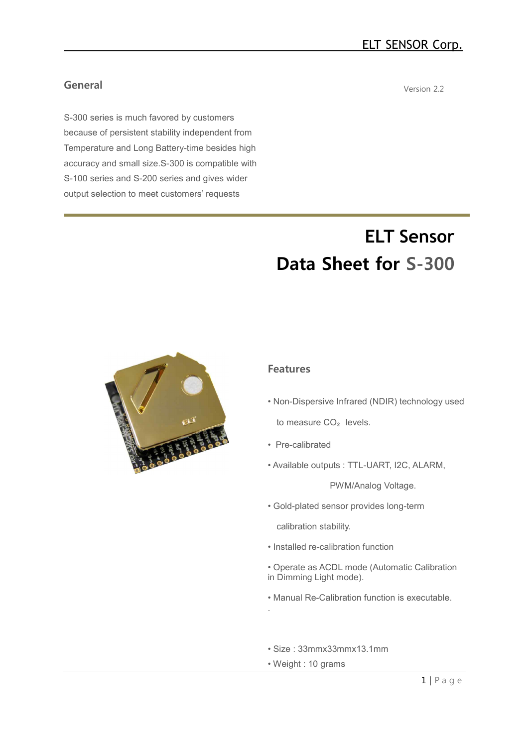# **General**

S-300 series is much favored by customers because of persistent stability independent from Temperature and Long Battery-time besides high accuracy and small size.S-300 is compatible with S-100 series and S-200 series and gives wider output selection to meet customers' requests

Version 2.2

# **ELT Sensor Data Sheet for S-300**



#### **Features**

- Non-Dispersive Infrared (NDIR) technology used to measure CO<sub>2</sub> levels.
- Pre-calibrated
- Available outputs : TTL-UART, I2C, ALARM,

PWM/Analog Voltage.

•.Gold-plated sensor provides long-term

calibration stability.

- Installed re-calibration function
- Operate as ACDL mode (Automatic Calibration in Dimming Light mode).
- Manual Re-Calibration function is executable.
- Size : 33mmx33mmx13.1mm
- Weight : 10 grams

.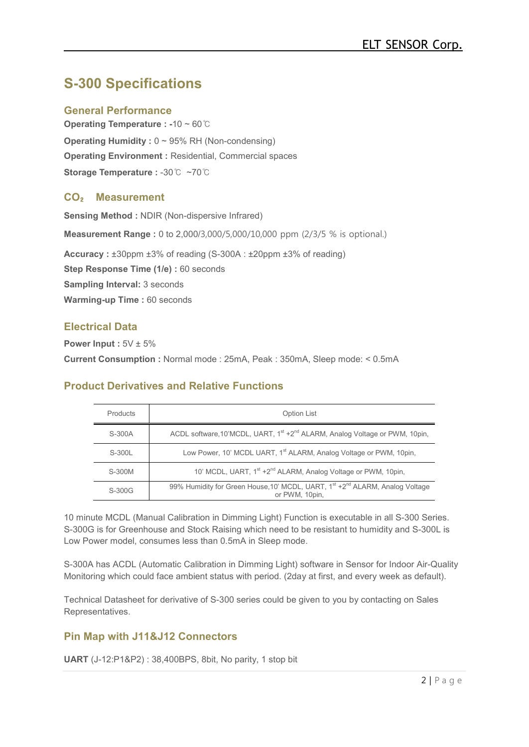# **S-300 Specifications**

### **General Performance**

**Operating Temperature : -**10 ~ 60℃ **Operating Humidity : 0 ~ 95% RH (Non-condensing) Operating Environment :** Residential, Commercial spaces **Storage Temperature :** -30℃ ~70℃

### **CO**₂ **Measurement**

**Sensing Method :** NDIR (Non-dispersive Infrared) **Measurement Range :** 0 to 2,000/3,000/5,000/10,000 ppm (2/3/5 % is optional.) **Accuracy :** ±30ppm ±3% of reading (S-300A : ±20ppm ±3% of reading) **Step Response Time (1/e) :** 60 seconds **Sampling Interval:** 3 seconds **Warming-up Time :** 60 seconds

### **Electrical Data**

**Power Input :**  $5V \pm 5\%$ **Current Consumption :** Normal mode : 25mA, Peak : 350mA, Sleep mode: < 0.5mA

### **Product Derivatives and Relative Functions**

| Products | <b>Option List</b>                                                                                         |
|----------|------------------------------------------------------------------------------------------------------------|
| S-300A   | ACDL software, 10'MCDL, UART, 1st +2 <sup>nd</sup> ALARM, Analog Voltage or PWM, 10pin,                    |
| S-300L   | Low Power, 10' MCDL UART, 1 <sup>st</sup> ALARM, Analog Voltage or PWM, 10pin,                             |
| S-300M   | 10' MCDL, UART, 1 <sup>st</sup> +2 <sup>nd</sup> ALARM, Analog Voltage or PWM, 10pin,                      |
| S-300G   | 99% Humidity for Green House, 10' MCDL, UART, 1st +2 <sup>nd</sup> ALARM, Analog Voltage<br>or PWM, 10pin, |

10 minute MCDL (Manual Calibration in Dimming Light) Function is executable in all S-300 Series. S-300G is for Greenhouse and Stock Raising which need to be resistant to humidity and S-300L is Low Power model, consumes less than 0.5mA in Sleep mode.

S-300A has ACDL (Automatic Calibration in Dimming Light) software in Sensor for Indoor Air-Quality Monitoring which could face ambient status with period. (2day at first, and every week as default).

Technical Datasheet for derivative of S-300 series could be given to you by contacting on Sales Representatives.

# **Pin Map with J11&J12 Connectors**

**UART** (J-12:P1&P2) : 38,400BPS, 8bit, No parity, 1 stop bit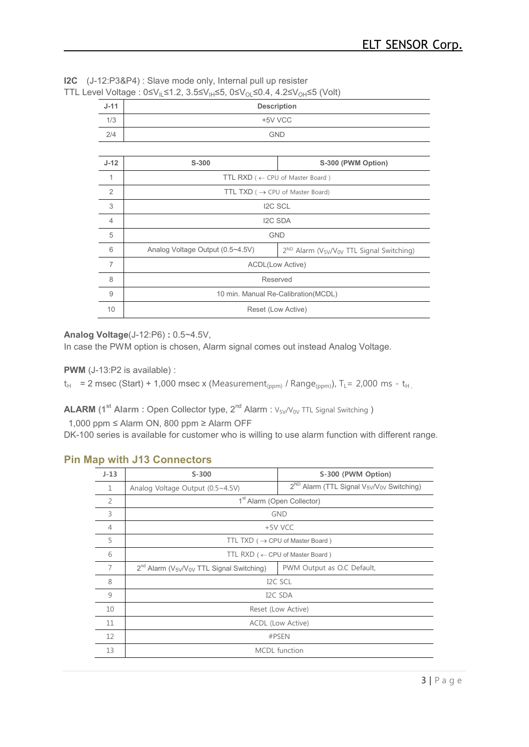**I2C** (J-12:P3&P4) : Slave mode only, Internal pull up resister TTL Level Voltage :  $0 \le V_{\parallel} \le 1.2$ ,  $3.5 \le V_{\parallel} \le 5$ ,  $0 \le V_{\Omega} \le 0.4$ ,  $4.2 \le V_{\Omega} \le 5$  (Volt)

| $J-11$         | <b>Description</b>                                                                                         |  |  |  |  |  |  |
|----------------|------------------------------------------------------------------------------------------------------------|--|--|--|--|--|--|
| 1/3            | +5V VCC                                                                                                    |  |  |  |  |  |  |
| 2/4            | <b>GND</b>                                                                                                 |  |  |  |  |  |  |
|                |                                                                                                            |  |  |  |  |  |  |
| $J-12$         | S-300<br>S-300 (PWM Option)                                                                                |  |  |  |  |  |  |
| 1              | TTL RXD ( $\leftarrow$ CPU of Master Board)                                                                |  |  |  |  |  |  |
| 2              | TTL TXD ( $\rightarrow$ CPU of Master Board)                                                               |  |  |  |  |  |  |
| 3              | <b>I2C SCL</b>                                                                                             |  |  |  |  |  |  |
| $\overline{4}$ | I2C SDA                                                                                                    |  |  |  |  |  |  |
| 5              | <b>GND</b>                                                                                                 |  |  |  |  |  |  |
| 6              | Analog Voltage Output (0.5~4.5V)<br>$2^{ND}$ Alarm (V <sub>5V</sub> /V <sub>0V</sub> TTL Signal Switching) |  |  |  |  |  |  |
| $\overline{7}$ | <b>ACDL(Low Active)</b>                                                                                    |  |  |  |  |  |  |
| 8              | Reserved                                                                                                   |  |  |  |  |  |  |
| $\overline{9}$ | 10 min. Manual Re-Calibration(MCDL)                                                                        |  |  |  |  |  |  |
| 10             | Reset (Low Active)                                                                                         |  |  |  |  |  |  |
|                |                                                                                                            |  |  |  |  |  |  |

#### **Analog Voltage**(J-12:P6) **:** 0.5~4.5V,

In case the PWM option is chosen, Alarm signal comes out instead Analog Voltage.

**PWM** (J-13:P2 is available) :

 $t_H$  = 2 msec (Start) + 1,000 msec x (Measurement<sub>(ppm)</sub> / Range<sub>(ppm)</sub>), T<sub>L</sub>= 2,000 ms - t<sub>H</sub>

**ALARM** (1<sup>st</sup> Alarm : Open Collector type, 2<sup>nd</sup> Alarm : V<sub>5V</sub>/V<sub>0V</sub> TTL Signal Switching )

1,000 ppm ≤ Alarm ON, 800 ppm ≥ Alarm OFF

DK-100 series is available for customer who is willing to use alarm function with different range.

### **Pin Map with J13 Connectors**

| $J-13$         | $S-300$                                                | S-300 (PWM Option)                                                            |
|----------------|--------------------------------------------------------|-------------------------------------------------------------------------------|
| $\mathbf{1}$   | Analog Voltage Output (0.5~4.5V)                       | 2 <sup>ND</sup> Alarm (TTL Signal V <sub>5V</sub> /V <sub>0V</sub> Switching) |
| $\overline{2}$ |                                                        | 1 <sup>st</sup> Alarm (Open Collector)                                        |
| 3              |                                                        | <b>GND</b>                                                                    |
| $\overline{4}$ |                                                        | +5V VCC                                                                       |
| 5              |                                                        | TTL TXD ( $\rightarrow$ CPU of Master Board)                                  |
| 6              |                                                        | TTL RXD ( $\leftarrow$ CPU of Master Board)                                   |
| 7              | $2^{nd}$ Alarm ( $V_{5V}/V_{0V}$ TTL Signal Switching) | PWM Output as O.C Default,                                                    |
| 8              |                                                        | I <sub>2</sub> C SCL                                                          |
| 9              |                                                        | I <sub>2</sub> C SDA                                                          |
| 10             |                                                        | Reset (Low Active)                                                            |
| 11             |                                                        | ACDL (Low Active)                                                             |
| 12             |                                                        | #PSEN                                                                         |
| 13             |                                                        | <b>MCDL</b> function                                                          |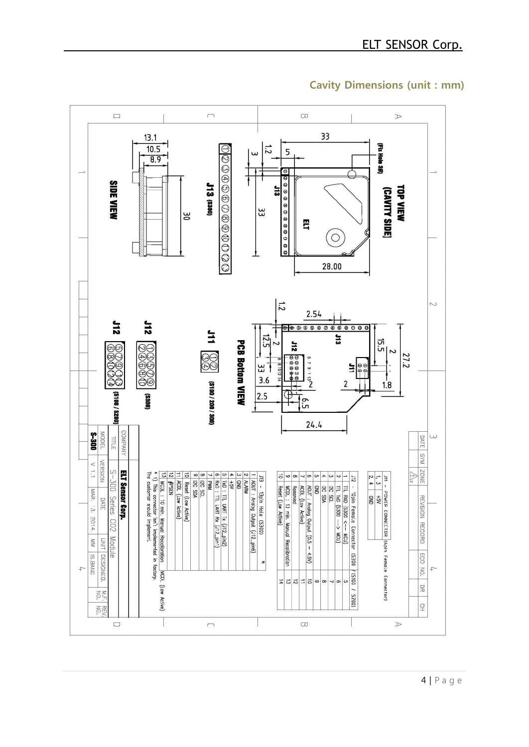

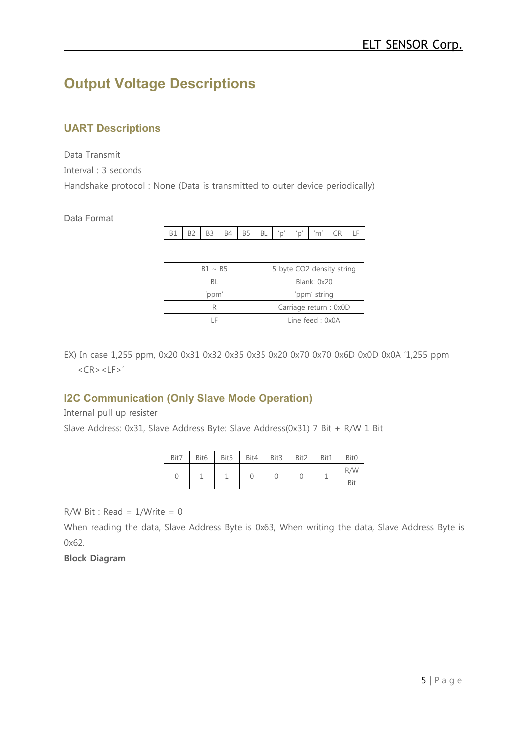# **Output Voltage Descriptions**

# **UART Descriptions**

Data Transmit

Interval : 3 seconds

Handshake protocol : None (Data is transmitted to outer device periodically)

### Data Format

|  |  |  |  | B1 B2 B3 B4 B5 BL 'p' 'p' 'm' CR LF |  |
|--|--|--|--|-------------------------------------|--|

| $B1 \sim B5$ | 5 byte CO2 density string |
|--------------|---------------------------|
| ВI           | Blank: 0x20               |
| 'ppm'        | 'ppm' string              |
| К            | Carriage return : 0x0D    |
| ΙF           | Line feed: $0x0A$         |

EX) In case 1,255 ppm, 0x20 0x31 0x32 0x35 0x35 0x20 0x70 0x70 0x6D 0x0D 0x0A '1,255 ppm  $<$ CR $>$  $<$ LF $>$ '

# **I2C Communication (Only Slave Mode Operation)**

Internal pull up resister

Slave Address: 0x31, Slave Address Byte: Slave Address(0x31) 7 Bit + R/W 1 Bit

| Bit7 |  | Bit6 Bit5 Bit4 Bit3 Bit2 |  | Bit1 | Bit <sub>0</sub> |
|------|--|--------------------------|--|------|------------------|
| U    |  |                          |  |      | R/W              |
|      |  |                          |  |      | Bit              |

 $R/W$  Bit : Read =  $1/W$ rite = 0

When reading the data, Slave Address Byte is 0x63, When writing the data, Slave Address Byte is 0x62.

### **Block Diagram**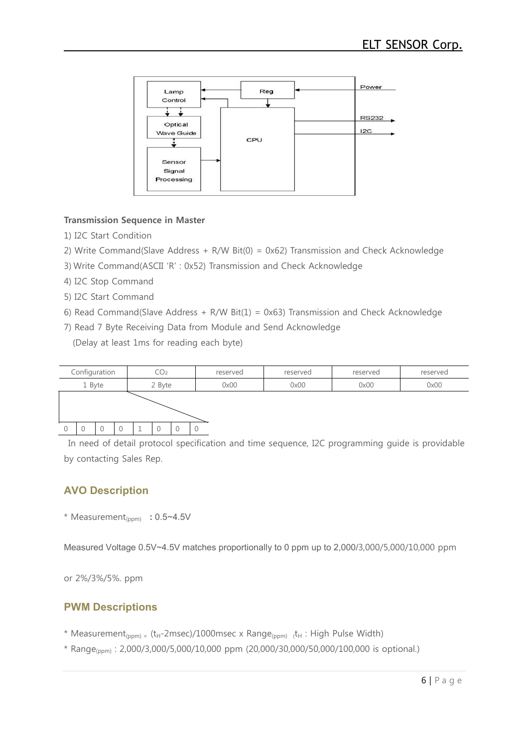

#### **Transmission Sequence in Master**

- 1) I2C Start Condition
- 2) Write Command(Slave Address + R/W Bit(0) = 0x62) Transmission and Check Acknowledge
- 3).Write Command(ASCII 'R' : 0x52) Transmission and Check Acknowledge
- 4) I2C Stop Command
- 5) I2C Start Command
- 6) Read Command(Slave Address + R/W Bit(1) = 0x63) Transmission and Check Acknowledge
- 7) Read 7 Byte Receiving Data from Module and Send Acknowledge

(Delay at least 1ms for reading each byte)



In need of detail protocol specification and time sequence, I2C programming guide is providable by contacting Sales Rep.

# **AVO Description**

\* Measurement(ppm) **:** 0.5~4.5V

Measured Voltage 0.5V~4.5V matches proportionally to 0 ppm up to 2,000/3,000/5,000/10,000 ppm

or 2%/3%/5%. ppm

# **PWM Descriptions**

- \* Measurement<sub>(ppm)</sub> = (t<sub>H</sub>-2msec)/1000msec x Range<sub>(ppm)</sub> t<sub>H</sub> : High Pulse Width)
- \* Range(ppm) : 2,000/3,000/5,000/10,000 ppm (20,000/30,000/50,000/100,000 is optional.)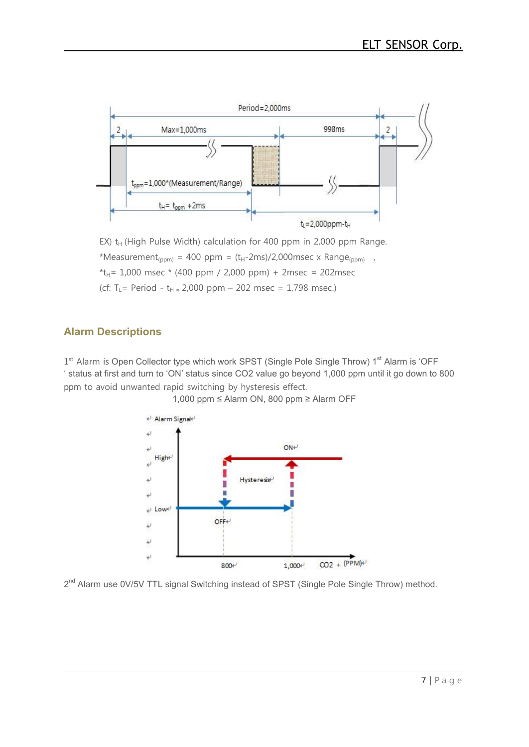

EX)  $t_H$  (High Pulse Width) calculation for 400 ppm in 2,000 ppm Range. \*Measurement<sub>(ppm)</sub> = 400 ppm =  $(t_H-2ms)/2,000msec \times Range_{(ppm)}$ ,<br>\* $t_H$ = 1,000 msec \* (400 ppm / 2,000 ppm) + 2msec = 202msec (cf: T<sub>L</sub> = Period - t<sub>H =</sub> 2,000 ppm – 202 msec = 1,798 msec.)

# **Alarm Descriptions**

1<sup>st</sup> Alarm is Open Collector type which work SPST (Single Pole Single Throw) 1<sup>st</sup> Alarm is 'OFF ' status at first and turn to 'ON' status since CO2 value go beyond 1,000 ppm until it go down to 800 ppm to avoid unwanted rapid switching by hysteresis effect.



1,000 ppm ≤ Alarm ON, 800 ppm ≥ Alarm OFF

2<sup>nd</sup> Alarm use 0V/5V TTL signal Switching instead of SPST (Single Pole Single Throw) method.